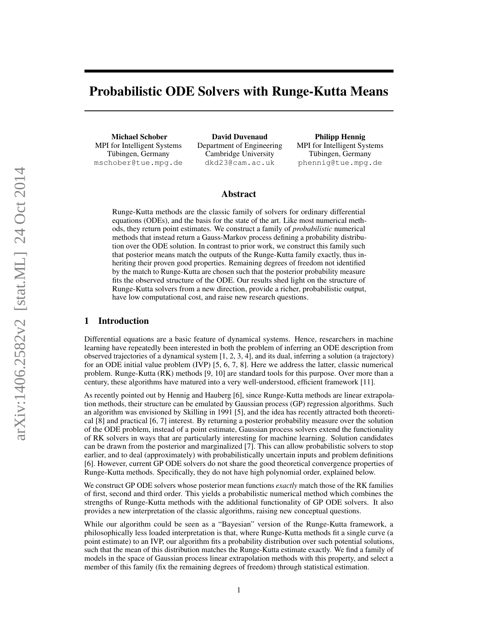# Probabilistic ODE Solvers with Runge-Kutta Means

Michael Schober MPI for Intelligent Systems Tübingen, Germany mschober@tue.mpg.de

David Duvenaud Department of Engineering Cambridge University dkd23@cam.ac.uk

Philipp Hennig MPI for Intelligent Systems Tübingen, Germany phennig@tue.mpg.de

## Abstract

Runge-Kutta methods are the classic family of solvers for ordinary differential equations (ODEs), and the basis for the state of the art. Like most numerical methods, they return point estimates. We construct a family of *probabilistic* numerical methods that instead return a Gauss-Markov process defining a probability distribution over the ODE solution. In contrast to prior work, we construct this family such that posterior means match the outputs of the Runge-Kutta family exactly, thus inheriting their proven good properties. Remaining degrees of freedom not identified by the match to Runge-Kutta are chosen such that the posterior probability measure fits the observed structure of the ODE. Our results shed light on the structure of Runge-Kutta solvers from a new direction, provide a richer, probabilistic output, have low computational cost, and raise new research questions.

## 1 Introduction

Differential equations are a basic feature of dynamical systems. Hence, researchers in machine learning have repeatedly been interested in both the problem of inferring an ODE description from observed trajectories of a dynamical system [\[1,](#page-8-0) [2,](#page-8-1) [3,](#page-8-2) [4\]](#page-8-3), and its dual, inferring a solution (a trajectory) for an ODE initial value problem (IVP) [\[5,](#page-8-4) [6,](#page-8-5) [7,](#page-8-6) [8\]](#page-8-7). Here we address the latter, classic numerical problem. Runge-Kutta (RK) methods [\[9,](#page-8-8) [10\]](#page-8-9) are standard tools for this purpose. Over more than a century, these algorithms have matured into a very well-understood, efficient framework [\[11\]](#page-8-10).

As recently pointed out by Hennig and Hauberg [\[6\]](#page-8-5), since Runge-Kutta methods are linear extrapolation methods, their structure can be emulated by Gaussian process (GP) regression algorithms. Such an algorithm was envisioned by Skilling in 1991 [\[5\]](#page-8-4), and the idea has recently attracted both theoretical [\[8\]](#page-8-7) and practical [\[6,](#page-8-5) [7\]](#page-8-6) interest. By returning a posterior probability measure over the solution of the ODE problem, instead of a point estimate, Gaussian process solvers extend the functionality of RK solvers in ways that are particularly interesting for machine learning. Solution candidates can be drawn from the posterior and marginalized [\[7\]](#page-8-6). This can allow probabilistic solvers to stop earlier, and to deal (approximately) with probabilistically uncertain inputs and problem definitions [\[6\]](#page-8-5). However, current GP ODE solvers do not share the good theoretical convergence properties of Runge-Kutta methods. Specifically, they do not have high polynomial order, explained below.

We construct GP ODE solvers whose posterior mean functions *exactly* match those of the RK families of first, second and third order. This yields a probabilistic numerical method which combines the strengths of Runge-Kutta methods with the additional functionality of GP ODE solvers. It also provides a new interpretation of the classic algorithms, raising new conceptual questions.

While our algorithm could be seen as a "Bayesian" version of the Runge-Kutta framework, a philosophically less loaded interpretation is that, where Runge-Kutta methods fit a single curve (a point estimate) to an IVP, our algorithm fits a probability distribution over such potential solutions, such that the mean of this distribution matches the Runge-Kutta estimate exactly. We find a family of models in the space of Gaussian process linear extrapolation methods with this property, and select a member of this family (fix the remaining degrees of freedom) through statistical estimation.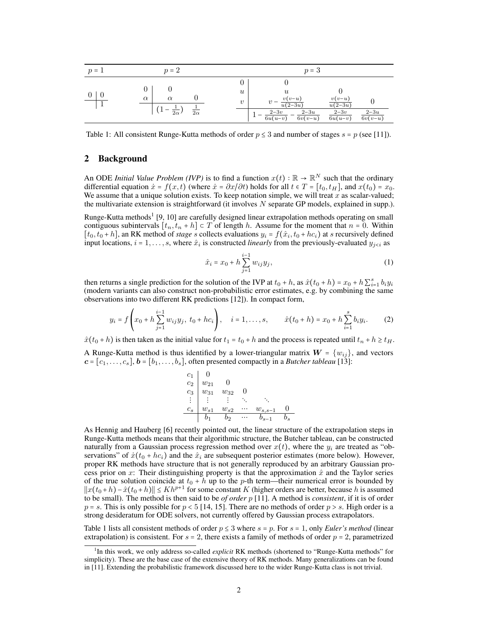<span id="page-1-0"></span>

| $p = 1$ | $p=2$                                          | $p=3$                                                                                                                                                                                                                                   |
|---------|------------------------------------------------|-----------------------------------------------------------------------------------------------------------------------------------------------------------------------------------------------------------------------------------------|
|         | $\alpha$<br>$\alpha$<br>$2\alpha$<br>$2\alpha$ | $\boldsymbol{u}$<br>$\boldsymbol{u}$<br>$v(v-u)$<br>$v(v-u)$<br>$\boldsymbol{v}$<br>$\overline{u(2-3u)}$<br>$u(2-3u)$<br>$2-3u$<br>$2-3v$<br>$2-3u$<br>$2-3v$<br>$6v(v-u)$<br>$\overline{6u(u-v)}$<br>$\overline{6u(u-v)}$<br>$6v(v-u)$ |

Table 1: All consistent Runge-Kutta methods of order  $p \le 3$  and number of stages  $s = p$  (see [\[11\]](#page-8-10)).

## 2 Background

An ODE *Initial Value Problem (IVP)* is to find a function  $x(t) : \mathbb{R} \to \mathbb{R}^N$  such that the ordinary differential equation  $\dot{x} = f(x, t)$  (where  $\dot{x} = \partial x/\partial t$ ) holds for all  $t \in T = [t, t-1]$  and  $x(t) = x$ . differential equation  $\dot{x} = f(x, t)$  (where  $\dot{x} = \partial x/\partial t$ ) holds for all  $t \in T = [t_0, t_H]$ , and  $x(t_0) = x_0$ . We assume that a unique solution exists. To keep notation simple, we will treat  $x$  as scalar-valued; the multivariate extension is straightforward (it involves N separate GP models, explained in supp.).

Runge-Kutta methods<sup>1</sup> [\[9,](#page-8-8) [10\]](#page-8-9) are carefully designed linear extrapolation methods operating on small contiguous subintervals  $[t_n, t_n + h] \subset T$  of length h. Assume for the moment that  $n = 0$ . Within  $[t_0, t_0 + h]$ , an RK method of *stage* s collects evaluations  $y_i = f(\hat{x}_i, t_0 + h c_i)$  at s recursively defined<br>input locations  $i = 1$ , so where  $\hat{x}_i$  is constructed linearly from the previously evaluated  $y_i$ , as input locations,  $i = 1, \ldots, s$ , where  $\hat{x}_i$  is constructed *linearly* from the previously-evaluated  $y_{j \leq i}$  as

$$
\hat{x}_i = x_0 + h \sum_{j=1}^{i-1} w_{ij} y_j,
$$
\n(1)

then returns a single prediction for the solution of the IVP at  $t_0 + h$ , as  $\hat{x}(t_0 + h) = x_0 + h \sum_{i=1}^{s} b_i y_i$ <br>(modern variants can also construct non probabilistic error estimates, e.g. by combining the same (modern variants can also construct non-probabilistic error estimates, e.g. by combining the same observations into two different RK predictions [\[12\]](#page-8-11)). In compact form,

$$
y_i = f\left(x_0 + h\sum_{j=1}^{i-1} w_{ij}y_j, t_0 + hc_i\right), \quad i = 1, ..., s, \qquad \hat{x}(t_0 + h) = x_0 + h\sum_{i=1}^{s} b_i y_i.
$$
 (2)

 $\hat{x}(t_0 + h)$  is then taken as the initial value for  $t_1 = t_0 + h$  and the process is repeated until  $t_n + h \geq t_H$ .

A Runge-Kutta method is thus identified by a lower-triangular matrix  $W = \{w_{ij}\}\$ , and vectors  $c = [c_1, \ldots, c_s], b = [b_1, \ldots, b_s],$  often presented compactly in a *Butcher tableau* [\[13\]](#page-8-12):

<span id="page-1-1"></span>
$$
\begin{array}{c|cccc}\nc_1 & 0 & & & \\
c_2 & w_{21} & 0 & & & \\
c_3 & w_{31} & w_{32} & 0 & & \\
\vdots & \vdots & \vdots & \ddots & \vdots & \\
c_s & w_{s1} & w_{s2} & \cdots & w_{s,s-1} & 0 \\
\hline\nb_1 & b_2 & \cdots & b_{s-1} & b_s\n\end{array}
$$

As Hennig and Hauberg [\[6\]](#page-8-5) recently pointed out, the linear structure of the extrapolation steps in Runge-Kutta methods means that their algorithmic structure, the Butcher tableau, can be constructed naturally from a Gaussian process regression method over  $x(t)$ , where the  $y_i$  are treated as "observations" of  $\dot{x}(t_0 + hc_i)$  and the  $\hat{x}_i$  are subsequent posterior estimates (more below). However, proper RK methods have structure that is not generally reproduced by an arbitrary Gaussian process prior on x: Their distinguishing property is that the approximation  $\hat{x}$  and the Taylor series of the true solution coincide at  $t_0 + h$  up to the p-th term—their numerical error is bounded by  $||x(t_0+h)-\hat{x}(t_0+h)|| \le Kh^{p+1}$  for some constant K (higher orders are better, because h is assumed<br>to be small). The method is then said to be of order n [11]. A method is consistent if it is of order to be small). The method is then said to be *of order* p [\[11\]](#page-8-10). A method is *consistent*, if it is of order  $p = s$ . This is only possible for  $p < 5$  [\[14,](#page-8-13) [15\]](#page-8-14). There are no methods of order  $p > s$ . High order is a strong desideratum for ODE solvers, not currently offered by Gaussian process extrapolators.

Table [1](#page-1-0) lists all consistent methods of order  $p \le 3$  where  $s = p$ . For  $s = 1$ , only *Euler's method* (linear extrapolation) is consistent. For  $s = 2$ , there exists a family of methods of order  $p = 2$ , parametrized

<sup>&</sup>lt;sup>1</sup>In this work, we only address so-called *explicit* RK methods (shortened to "Runge-Kutta methods" for simplicity). These are the base case of the extensive theory of RK methods. Many generalizations can be found in [\[11\]](#page-8-10). Extending the probabilistic framework discussed here to the wider Runge-Kutta class is not trivial.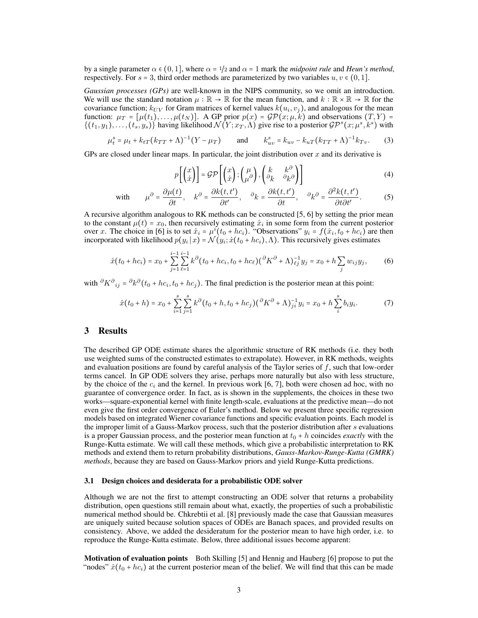by a single parameter  $\alpha \in (0, 1]$ , where  $\alpha = 1/2$  and  $\alpha = 1$  mark the *midpoint rule* and *Heun's method*, respectively. For  $s = 3$ , third order methods are parameterized by two variables  $u, v \in (0, 1]$ .

*Gaussian processes (GPs)* are well-known in the NIPS community, so we omit an introduction. We will use the standard notation  $\mu : \mathbb{R} \to \mathbb{R}$  for the mean function, and  $k : \mathbb{R} \times \mathbb{R} \to \mathbb{R}$  for the covariance function;  $k_{UV}$  for Gram matrices of kernel values  $k(u_i, v_j)$ , and analogous for the mean<br>function:  $u = [u(t)]$   $\Delta$  GP prior  $p(x) = G\mathcal{D}(x; u, k)$  and observations  $(T, V) =$ function:  $\mu_T = [\mu(t_1), \dots, \mu(t_N)]$ . A GP prior  $p(x) = \mathcal{GP}(x; \mu, k)$  and observations  $(T, Y) =$  $\{(t_1, y_1), \ldots, (t_s, y_s)\}\$  having likelihood  $\mathcal{N}(Y; x_T, \Lambda)$  give rise to a posterior  $\mathcal{GP}^s(x; \mu^s, k^s)$  with

$$
\mu_t^s = \mu_t + k_{tT}(k_{TT} + \Lambda)^{-1}(Y - \mu_T) \quad \text{and} \quad k_{uv}^s = k_{uv} - k_{uT}(k_{TT} + \Lambda)^{-1}k_{Tv}.
$$
 (3)

GPs are closed under linear maps. In particular, the joint distribution over  $x$  and its derivative is

$$
p\left[\begin{pmatrix} x \\ \dot{x} \end{pmatrix}\right] = \mathcal{GP}\left[\begin{pmatrix} x \\ \dot{x} \end{pmatrix}; \begin{pmatrix} \mu \\ \mu^{\partial} \end{pmatrix}, \begin{pmatrix} k & k^{\partial} \\ \partial_k & \partial_k \partial \end{pmatrix}\right]
$$
(4)

with 
$$
\mu^{\partial} = \frac{\partial \mu(t)}{\partial t}, \quad k^{\partial} = \frac{\partial k(t, t')}{\partial t'}, \quad \partial_k = \frac{\partial k(t, t')}{\partial t}, \quad \partial_k^{\partial} = \frac{\partial^2 k(t, t')}{\partial t \partial t'}.
$$
 (5)

A recursive algorithm analogous to RK methods can be constructed [\[5,](#page-8-4) [6\]](#page-8-5) by setting the prior mean to the constant  $\mu(t) = x_0$ , then recursively estimating  $\hat{x}_i$  in some form from the current posterior over  $x$ . The choice in [6] is to set  $\hat{x}_i = \mu^i(t+1, k_0)$ , "Observations"  $u_i = f(\hat{x}_i, t+1, k_0)$  are then over x. The choice in [\[6\]](#page-8-5) is to set  $\hat{x}_i = \mu^i(t_0 + hc_i)$ . "Observations"  $y_i = f(\hat{x}_i, t_0 + hc_i)$  are then incorporated with likelihood  $p(y_i|x) = \mathcal{N}(y_i; \dot{x}(t_0 + hc_i), \Lambda)$ . This recursively gives estimates

$$
\hat{x}(t_0 + hc_i) = x_0 + \sum_{j=1}^{i-1} \sum_{\ell=1}^{i-1} k^{\partial} (t_0 + hc_i, t_0 + hc_{\ell}) (\partial K^{\partial} + \Lambda)_{\ell j}^{-1} y_j = x_0 + h \sum_j w_{ij} y_j,
$$
(6)

with  $\partial K^{\partial}_{ij} = \partial k^{\partial} (t_0 + h c_i, t_0 + h c_j)$ . The final prediction is the posterior mean at this point:

$$
\hat{x}(t_0+h) = x_0 + \sum_{i=1}^s \sum_{j=1}^s k^{\partial} (t_0+h, t_0+hc_j) (\partial K^{\partial} + \Lambda)^{-1}_{ji} y_i = x_0 + h \sum_{i=1}^s b_i y_i.
$$
 (7)

#### <span id="page-2-0"></span>3 Results

The described GP ODE estimate shares the algorithmic structure of RK methods (i.e. they both use weighted sums of the constructed estimates to extrapolate). However, in RK methods, weights and evaluation positions are found by careful analysis of the Taylor series of  $f$ , such that low-order terms cancel. In GP ODE solvers they arise, perhaps more naturally but also with less structure, by the choice of the  $c_i$  and the kernel. In previous work [\[6,](#page-8-5) [7\]](#page-8-6), both were chosen ad hoc, with no guarantee of convergence order. In fact, as is shown in the supplements, the choices in these two works—square-exponential kernel with finite length-scale, evaluations at the predictive mean—do not even give the first order convergence of Euler's method. Below we present three specific regression models based on integrated Wiener covariance functions and specific evaluation points. Each model is the improper limit of a Gauss-Markov process, such that the posterior distribution after s evaluations is a proper Gaussian process, and the posterior mean function at  $t_0 + h$  coincides *exactly* with the Runge-Kutta estimate. We will call these methods, which give a probabilistic interpretation to RK methods and extend them to return probability distributions, *Gauss-Markov-Runge-Kutta (GMRK) methods*, because they are based on Gauss-Markov priors and yield Runge-Kutta predictions.

#### <span id="page-2-1"></span>3.1 Design choices and desiderata for a probabilistic ODE solver

Although we are not the first to attempt constructing an ODE solver that returns a probability distribution, open questions still remain about what, exactly, the properties of such a probabilistic numerical method should be. Chkrebtii et al. [\[8\]](#page-8-7) previously made the case that Gaussian measures are uniquely suited because solution spaces of ODEs are Banach spaces, and provided results on consistency. Above, we added the desideratum for the posterior mean to have high order, i.e. to reproduce the Runge-Kutta estimate. Below, three additional issues become apparent:

Motivation of evaluation points Both Skilling [\[5\]](#page-8-4) and Hennig and Hauberg [\[6\]](#page-8-5) propose to put the "nodes"  $\hat{x}(t_0 + hc_i)$  at the current posterior mean of the belief. We will find that this can be made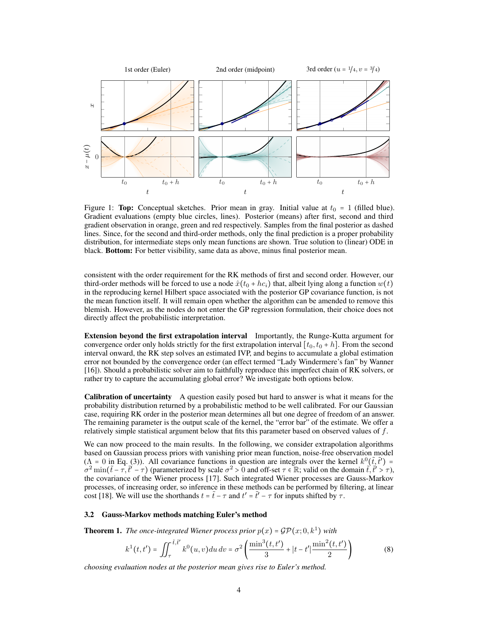<span id="page-3-1"></span>

Figure 1: Top: Conceptual sketches. Prior mean in gray. Initial value at  $t_0 = 1$  (filled blue). Gradient evaluations (empty blue circles, lines). Posterior (means) after first, second and third gradient observation in orange, green and red respectively. Samples from the final posterior as dashed lines. Since, for the second and third-order methods, only the final prediction is a proper probability distribution, for intermediate steps only mean functions are shown. True solution to (linear) ODE in black. Bottom: For better visibility, same data as above, minus final posterior mean.

consistent with the order requirement for the RK methods of first and second order. However, our third-order methods will be forced to use a node  $\hat{x}(t_0 + hc_i)$  that, albeit lying along a function  $w(t)$ in the reproducing kernel Hilbert space associated with the posterior GP covariance function, is not the mean function itself. It will remain open whether the algorithm can be amended to remove this blemish. However, as the nodes do not enter the GP regression formulation, their choice does not directly affect the probabilistic interpretation.

Extension beyond the first extrapolation interval Importantly, the Runge-Kutta argument for convergence order only holds strictly for the first extrapolation interval  $[t_0, t_0 + h]$ . From the second interval onward, the RK step solves an estimated IVP, and begins to accumulate a global estimation error not bounded by the convergence order (an effect termed "Lady Windermere's fan" by Wanner [\[16\]](#page-8-15)). Should a probabilistic solver aim to faithfully reproduce this imperfect chain of RK solvers, or rather try to capture the accumulating global error? We investigate both options below.

Calibration of uncertainty A question easily posed but hard to answer is what it means for the probability distribution returned by a probabilistic method to be well calibrated. For our Gaussian case, requiring RK order in the posterior mean determines all but one degree of freedom of an answer. The remaining parameter is the output scale of the kernel, the "error bar" of the estimate. We offer a relatively simple statistical argument below that fits this parameter based on observed values of  $f$ .

We can now proceed to the main results. In the following, we consider extrapolation algorithms based on Gaussian process priors with vanishing prior mean function, noise-free observation model ( $\Lambda = 0$  in Eq. [\(3\)](#page-1-1)). All covariance functions in question are integrals over the kernel  $k^0(\tilde{t}, \tilde{t}') = \sigma^2 \min(\tilde{t} - \tau, \tilde{t}' - \tau)$  (parameterized by scale  $\sigma^2 > 0$  and off-set  $\tau \in \mathbb{R}$ ; valid on the domain  $\tilde{t},$ the covariance of the Wiener process [\[17\]](#page-8-16). Such integrated Wiener processes are Gauss-Markov processes, of increasing order, so inference in these methods can be performed by filtering, at linear cost [\[18\]](#page-8-17). We will use the shorthands  $t = \tilde{t} - \tau$  and  $t' = \tilde{t}' - \tau$  for inputs shifted by  $\tau$ .

#### <span id="page-3-2"></span>3.2 Gauss-Markov methods matching Euler's method

<span id="page-3-0"></span>**Theorem 1.** The once-integrated Wiener process prior  $p(x) = \mathcal{GP}(x; 0, k^1)$  with

$$
k^{1}(t,t') = \iint_{\tau}^{\tilde{t},\tilde{t}'} k^{0}(u,v)du dv = \sigma^{2} \left( \frac{\min^{3}(t,t')}{3} + |t-t'| \frac{\min^{2}(t,t')}{2} \right)
$$
(8)

*choosing evaluation nodes at the posterior mean gives rise to Euler's method.*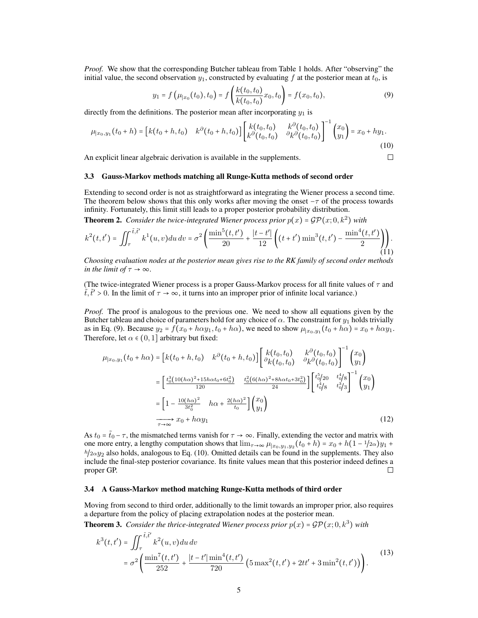*Proof.* We show that the corresponding Butcher tableau from Table [1](#page-1-0) holds. After "observing" the initial value, the second observation  $y_1$ , constructed by evaluating f at the posterior mean at  $t_0$ , is

<span id="page-4-0"></span>
$$
y_1 = f\left(\mu_{|x_0}(t_0), t_0\right) = f\left(\frac{k(t_0, t_0)}{k(t_0, t_0)}x_0, t_0\right) = f(x_0, t_0),\tag{9}
$$

<span id="page-4-1"></span> $\Box$ 

directly from the definitions. The posterior mean after incorporating  $y_1$  is

$$
\mu_{|x_0,y_1}(t_0+h) = \begin{bmatrix} k(t_0+h,t_0) & k^{\partial}(t_0+h,t_0) \end{bmatrix} \begin{bmatrix} k(t_0,t_0) & k^{\partial}(t_0,t_0) \\ k^{\partial}(t_0,t_0) & \partial_k^{\partial}(t_0,t_0) \end{bmatrix}^{-1} \begin{pmatrix} x_0 \\ y_1 \end{pmatrix} = x_0 + hy_1.
$$
\n(10)

An explicit linear algebraic derivation is available in the supplements.

#### 3.3 Gauss-Markov methods matching all Runge-Kutta methods of second order

Extending to second order is not as straightforward as integrating the Wiener process a second time. The theorem below shows that this only works after moving the onset  $-\tau$  of the process towards infinity. Fortunately, this limit still leads to a proper posterior probability distribution.

<span id="page-4-2"></span>**Theorem 2.** *Consider the twice-integrated Wiener process prior*  $p(x) = GP(x; 0, k^2)$  *with* 

$$
k^{2}(t,t') = \iint_{\tau}^{\tilde{t},\tilde{t}'} k^{1}(u,v) du dv = \sigma^{2} \left( \frac{\min^{5}(t,t')}{20} + \frac{|t-t'|}{12} \left( (t+t')\min^{3}(t,t') - \frac{\min^{4}(t,t')}{2} \right) \right). \tag{11}
$$

*Choosing evaluation nodes at the posterior mean gives rise to the RK family of second order methods in the limit of*  $\tau \to \infty$ *.* 

(The twice-integrated Wiener process is a proper Gauss-Markov process for all finite values of  $\tau$  and  $\tilde{t}, \tilde{t}' > 0$ . In the limit of  $\tau \to \infty$ , it turns into an improper prior of infinite local variance.)

*Proof.* The proof is analogous to the previous one. We need to show all equations given by the Butcher tableau and choice of parameters hold for any choice of  $\alpha$ . The constraint for  $y_1$  holds trivially as in Eq. [\(9\)](#page-4-0). Because  $y_2 = f(x_0 + h\alpha y_1, t_0 + h\alpha)$ , we need to show  $\mu_{x_0, y_1}(t_0 + h\alpha) = x_0 + h\alpha y_1$ .<br>Therefore lit  $\epsilon \in (0, 1]$  arbitrary but fixed. Therefore, let  $\alpha \in (0, 1]$  arbitrary but fixed:

$$
\mu_{|x_0, y_1}(t_0 + h\alpha) = \left[k(t_0 + h, t_0) \quad k^{\partial}(t_0 + h, t_0)\right] \left[\begin{array}{cc} k(t_0, t_0) & k^{\partial}(t_0, t_0) \\ \partial_k(t_0, t_0) & \partial_k \partial(t_0, t_0) \end{array}\right]^{-1} \begin{pmatrix} x_0 \\ y_1 \end{pmatrix}
$$

$$
= \left[\begin{array}{cc} t_0^3(10(h\alpha)^2 + 15h\alpha t_0 + 6t_0^2) & t_0^2(6(h\alpha)^2 + 8h\alpha t_0 + 3t_0^2) \\ \frac{120}{24} & \frac{120}{24} \end{array}\right] \left[\begin{array}{cc} t_0^5/20 & t_0^4/8 \\ t_0^4/8 & t_0^3/3 \end{array}\right]^{-1} \begin{pmatrix} x_0 \\ y_1 \end{pmatrix}
$$

$$
= \left[1 - \frac{10(h\alpha)^2}{3t_0^2} & h\alpha + \frac{2(h\alpha)^2}{t_0} \right] \begin{pmatrix} x_0 \\ y_1 \end{pmatrix}
$$

$$
\xrightarrow[\tau \to \infty]{} x_0 + h\alpha y_1
$$
(12)

As  $t_0 = \tilde{t}_0 - \tau$ , the mismatched terms vanish for  $\tau \to \infty$ . Finally, extending the vector and matrix with one more entry, a lengthy computation shows that  $\lim_{T\to\infty} \mu_{[x_0, y_1, y_2]}(t_0 + h) = x_0 + h(1 - 1/2\alpha)y_1 +$  $h/2\alpha y_2$  also holds, analogous to Eq. [\(10\)](#page-4-1). Omitted details can be found in the supplements. They also include the final-step posterior covariance. Its finite values mean that this posterior indeed defines a proper GP. П

#### 3.4 A Gauss-Markov method matching Runge-Kutta methods of third order

Moving from second to third order, additionally to the limit towards an improper prior, also requires a departure from the policy of placing extrapolation nodes at the posterior mean.

**Theorem 3.** *Consider the thrice-integrated Wiener process prior*  $p(x) = GP(x; 0, k^3)$  *with* 

$$
k^{3}(t,t') = \iint_{\tau}^{\tilde{t},\tilde{t}'} k^{2}(u,v)du dv
$$
  
=  $\sigma^{2} \left( \frac{\min^{7}(t,t')}{252} + \frac{|t-t'| \min^{4}(t,t')}{720} \left( 5 \max^{2}(t,t') + 2tt' + 3 \min^{2}(t,t') \right) \right).$  (13)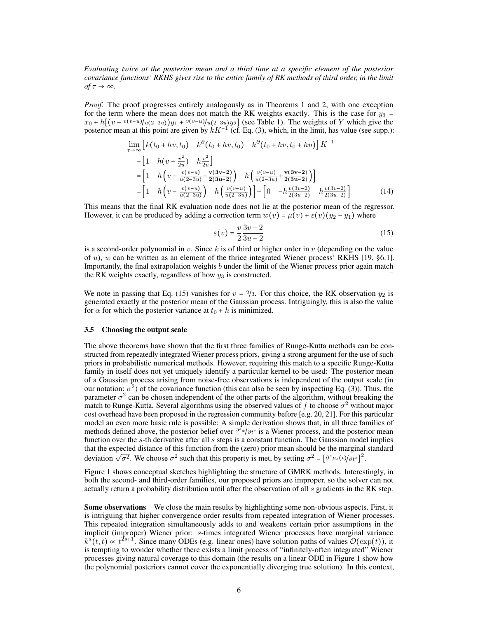*Evaluating twice at the posterior mean and a third time at a specific element of the posterior covariance functions' RKHS gives rise to the entire family of RK methods of third order, in the limit*  $of \tau \rightarrow \infty$ *.* 

*Proof.* The proof progresses entirely analogously as in Theorems [1](#page-3-0) and [2,](#page-4-2) with one exception for the term where the mean does not match the RK weights exactly. This is the case for  $y_3 =$  $x_0 + h[(v - v(v-u)/u(2-3u))y_1 + v(v-u)/u(2-3u)y_2]$  (see Table [1\)](#page-1-0). The weights of Y which give the posterior mean at this point are given by  $kK^{-1}$  (cf. Eq. [\(3\)](#page-1-1), which, in the limit, has value (see supp.):

$$
\lim_{\tau \to \infty} \left[ k(t_0 + hv, t_0) \right] k^{\partial} (t_0 + hv, t_0) \left[ k^{\partial} (t_0 + hv, t_0 + hu) \right] K^{-1}
$$
\n
$$
= \left[ 1 \quad h(v - \frac{v^2}{2u}) \quad h \frac{v^2}{2u} \right]
$$
\n
$$
= \left[ 1 \quad h\left( v - \frac{v(v - u)}{u(2 - 3u)} - \frac{v(3v - 2)}{2(3u - 2)} \right) \right] h\left( \frac{v(v - u)}{u(2 - 3u)} + \frac{v(3v - 2)}{2(3u - 2)} \right) \right]
$$
\n
$$
= \left[ 1 \quad h\left( v - \frac{v(v - u)}{u(2 - 3u)} \right) \left[ h\left( \frac{v(v - u)}{u(2 - 3u)} \right) \right] + \left[ 0 \quad -h \frac{v(3v - 2)}{2(3u - 2)} \right] \left[ \frac{v(3v - 2)}{2(3u - 2)} \right] \right] \tag{14}
$$

This means that the final RK evaluation node does not lie at the posterior mean of the regressor. However, it can be produced by adding a correction term  $w(v) = \mu(v) + \varepsilon(v)(y_2 - y_1)$  where

<span id="page-5-0"></span>
$$
\varepsilon(v) = \frac{v}{2} \frac{3v - 2}{3u - 2} \tag{15}
$$

is a second-order polynomial in v. Since k is of third or higher order in v (depending on the value of u), w can be written as an element of the thrice integrated Wiener process' RKHS [\[19,](#page-8-18) §6.1]. Importantly, the final extrapolation weights  $b$  under the limit of the Wiener process prior again match the RK weights exactly, regardless of how  $y_3$  is constructed.  $\Box$ 

We note in passing that Eq. [\(15\)](#page-5-0) vanishes for  $v = 2/3$ . For this choice, the RK observation  $y_2$  is generated exactly at the posterior mean of the Gaussian process. Intriguingly, this is also the value for  $\alpha$  for which the posterior variance at  $t_0 + h$  is minimized.

#### 3.5 Choosing the output scale

The above theorems have shown that the first three families of Runge-Kutta methods can be constructed from repeatedly integrated Wiener process priors, giving a strong argument for the use of such priors in probabilistic numerical methods. However, requiring this match to a specific Runge-Kutta family in itself does not yet uniquely identify a particular kernel to be used: The posterior mean of a Gaussian process arising from noise-free observations is independent of the output scale (in our notation:  $\sigma^2$ ) of the covariance function (this can also be seen by inspecting Eq. [\(3\)](#page-1-1)). Thus, the parameter  $\sigma^2$  can be chosen independent of the other parts of the algorithm, without breaking the match to Runge-Kutta. Several algorithms using the observed values of f to choose  $\sigma^2$  without major cost overhead have been proposed in the regression community before [e.g. [20,](#page-8-19) [21\]](#page-8-20). For this particular model an even more basic rule is possible: A simple derivation shows that, in all three families of methods defined above, the posterior belief over  $\frac{\partial^s x}{\partial t^s}$  is a Wiener process, and the posterior mean function over the c the derivative after all c steps is a constant function. The Gaussian model implies function over the s-th derivative after all s steps is a constant function. The Gaussian model implies that the expected distance of this function from the (zero) prior mean should be the marginal standard deviation  $\sqrt{\sigma^2}$ . We choose  $\sigma^2$  such that this property is met, by setting  $\sigma^2 = [\partial^s \mu_s(t)/\partial t^s]$ 2 .

Figure [1](#page-3-1) shows conceptual sketches highlighting the structure of GMRK methods. Interestingly, in both the second- and third-order families, our proposed priors are improper, so the solver can not actually return a probability distribution until after the observation of all s gradients in the RK step.

Some observations We close the main results by highlighting some non-obvious aspects. First, it is intriguing that higher convergence order results from repeated integration of Wiener processes. This repeated integration simultaneously adds to and weakens certain prior assumptions in the implicit (improper) Wiener prior: s-times integrated Wiener processes have marginal variance  $k^{s}(t,t) \propto t^{2s+1}$ . Since many ODEs (e.g. linear ones) have solution paths of values  $\mathcal{O}(\exp(t))$ , it is terming to wonder whether there exists a limit process of "infinitely often integrated" Wiener is tempting to wonder whether there exists a limit process of "infinitely-often integrated" Wiener processes giving natural coverage to this domain (the results on a linear ODE in Figure [1](#page-3-1) show how the polynomial posteriors cannot cover the exponentially diverging true solution). In this context,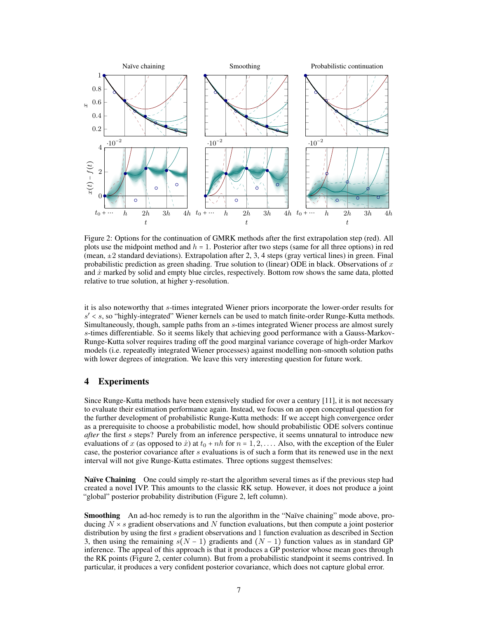<span id="page-6-0"></span>

Figure 2: Options for the continuation of GMRK methods after the first extrapolation step (red). All plots use the midpoint method and  $h = 1$ . Posterior after two steps (same for all three options) in red (mean,  $\pm 2$  standard deviations). Extrapolation after 2, 3, 4 steps (gray vertical lines) in green. Final probabilistic prediction as green shading. True solution to (linear) ODE in black. Observations of  $x$ and  $\dot{x}$  marked by solid and empty blue circles, respectively. Bottom row shows the same data, plotted relative to true solution, at higher y-resolution.

it is also noteworthy that s-times integrated Wiener priors incorporate the lower-order results for  $s' < s$ , so "highly-integrated" Wiener kernels can be used to match finite-order Runge-Kutta methods.<br>Simultaneously, though, sample paths from an a times integrated Wiener process are almost surely. Simultaneously, though, sample paths from an s-times integrated Wiener process are almost surely s-times differentiable. So it seems likely that achieving good performance with a Gauss-Markov-Runge-Kutta solver requires trading off the good marginal variance coverage of high-order Markov models (i.e. repeatedly integrated Wiener processes) against modelling non-smooth solution paths with lower degrees of integration. We leave this very interesting question for future work.

## 4 Experiments

Since Runge-Kutta methods have been extensively studied for over a century [\[11\]](#page-8-10), it is not necessary to evaluate their estimation performance again. Instead, we focus on an open conceptual question for the further development of probabilistic Runge-Kutta methods: If we accept high convergence order as a prerequisite to choose a probabilistic model, how should probabilistic ODE solvers continue *after* the first s steps? Purely from an inference perspective, it seems unnatural to introduce new evaluations of x (as opposed to x) at  $t_0 + nh$  for  $n = 1, 2, \ldots$ . Also, with the exception of the Euler case, the posterior covariance after s evaluations is of such a form that its renewed use in the next interval will not give Runge-Kutta estimates. Three options suggest themselves:

Naïve Chaining One could simply re-start the algorithm several times as if the previous step had created a novel IVP. This amounts to the classic RK setup. However, it does not produce a joint "global" posterior probability distribution (Figure [2,](#page-6-0) left column).

Smoothing An ad-hoc remedy is to run the algorithm in the "Naïve chaining" mode above, producing  $N \times s$  gradient observations and N function evaluations, but then compute a joint posterior distribution by using the first s gradient observations and 1 function evaluation as described in Section [3,](#page-2-0) then using the remaining  $s(N - 1)$  gradients and  $(N - 1)$  function values as in standard GP inference. The appeal of this approach is that it produces a GP posterior whose mean goes through the RK points (Figure [2,](#page-6-0) center column). But from a probabilistic standpoint it seems contrived. In particular, it produces a very confident posterior covariance, which does not capture global error.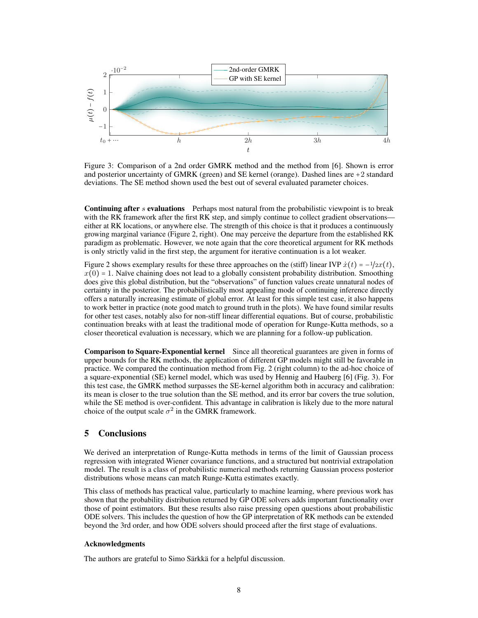<span id="page-7-0"></span>

Figure 3: Comparison of a 2nd order GMRK method and the method from [\[6\]](#page-8-5). Shown is error and posterior uncertainty of GMRK (green) and SE kernel (orange). Dashed lines are +2 standard deviations. The SE method shown used the best out of several evaluated parameter choices.

**Continuing after s evaluations** Perhaps most natural from the probabilistic viewpoint is to break with the RK framework after the first RK step, and simply continue to collect gradient observations either at RK locations, or anywhere else. The strength of this choice is that it produces a continuously growing marginal variance (Figure [2,](#page-6-0) right). One may perceive the departure from the established RK paradigm as problematic. However, we note again that the core theoretical argument for RK methods is only strictly valid in the first step, the argument for iterative continuation is a lot weaker.

Figure [2](#page-6-0) shows exemplary results for these three approaches on the (stiff) linear IVP  $\dot{x}(t) = -\frac{1}{2x}(t)$ ,  $x(0) = 1$ . Naïve chaining does not lead to a globally consistent probability distribution. Smoothing does give this global distribution, but the "observations" of function values create unnatural nodes of certainty in the posterior. The probabilistically most appealing mode of continuing inference directly offers a naturally increasing estimate of global error. At least for this simple test case, it also happens to work better in practice (note good match to ground truth in the plots). We have found similar results for other test cases, notably also for non-stiff linear differential equations. But of course, probabilistic continuation breaks with at least the traditional mode of operation for Runge-Kutta methods, so a closer theoretical evaluation is necessary, which we are planning for a follow-up publication.

Comparison to Square-Exponential kernel Since all theoretical guarantees are given in forms of upper bounds for the RK methods, the application of different GP models might still be favorable in practice. We compared the continuation method from Fig. [2](#page-6-0) (right column) to the ad-hoc choice of a square-exponential (SE) kernel model, which was used by Hennig and Hauberg [\[6\]](#page-8-5) (Fig. [3\)](#page-7-0). For this test case, the GMRK method surpasses the SE-kernel algorithm both in accuracy and calibration: its mean is closer to the true solution than the SE method, and its error bar covers the true solution, while the SE method is over-confident. This advantage in calibration is likely due to the more natural choice of the output scale  $\sigma^2$  in the GMRK framework.

## 5 Conclusions

We derived an interpretation of Runge-Kutta methods in terms of the limit of Gaussian process regression with integrated Wiener covariance functions, and a structured but nontrivial extrapolation model. The result is a class of probabilistic numerical methods returning Gaussian process posterior distributions whose means can match Runge-Kutta estimates exactly.

This class of methods has practical value, particularly to machine learning, where previous work has shown that the probability distribution returned by GP ODE solvers adds important functionality over those of point estimators. But these results also raise pressing open questions about probabilistic ODE solvers. This includes the question of how the GP interpretation of RK methods can be extended beyond the 3rd order, and how ODE solvers should proceed after the first stage of evaluations.

#### Acknowledgments

The authors are grateful to Simo Särkkä for a helpful discussion.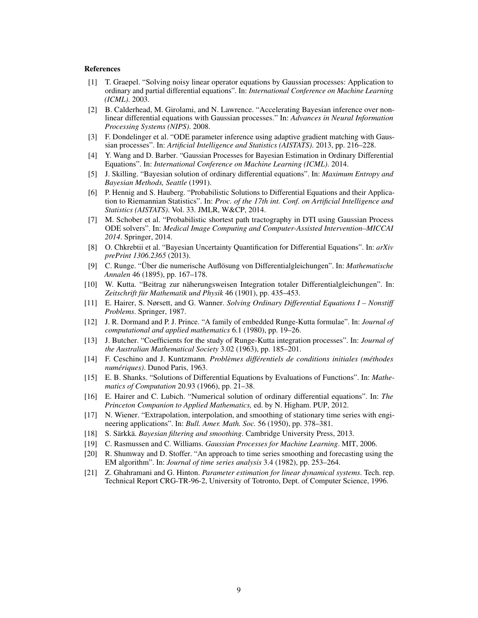#### References

- <span id="page-8-0"></span>[1] T. Graepel. "Solving noisy linear operator equations by Gaussian processes: Application to ordinary and partial differential equations". In: *International Conference on Machine Learning (ICML)*. 2003.
- <span id="page-8-1"></span>[2] B. Calderhead, M. Girolami, and N. Lawrence. "Accelerating Bayesian inference over nonlinear differential equations with Gaussian processes." In: *Advances in Neural Information Processing Systems (NIPS)*. 2008.
- <span id="page-8-2"></span>[3] F. Dondelinger et al. "ODE parameter inference using adaptive gradient matching with Gaussian processes". In: *Artificial Intelligence and Statistics (AISTATS)*. 2013, pp. 216–228.
- <span id="page-8-3"></span>[4] Y. Wang and D. Barber. "Gaussian Processes for Bayesian Estimation in Ordinary Differential Equations". In: *International Conference on Machine Learning (ICML)*. 2014.
- <span id="page-8-4"></span>[5] J. Skilling. "Bayesian solution of ordinary differential equations". In: *Maximum Entropy and Bayesian Methods, Seattle* (1991).
- <span id="page-8-5"></span>[6] P. Hennig and S. Hauberg. "Probabilistic Solutions to Differential Equations and their Application to Riemannian Statistics". In: *Proc. of the 17th int. Conf. on Artificial Intelligence and Statistics (AISTATS)*. Vol. 33. JMLR, W&CP, 2014.
- <span id="page-8-6"></span>[7] M. Schober et al. "Probabilistic shortest path tractography in DTI using Gaussian Process ODE solvers". In: *Medical Image Computing and Computer-Assisted Intervention–MICCAI 2014*. Springer, 2014.
- <span id="page-8-7"></span>[8] O. Chkrebtii et al. "Bayesian Uncertainty Quantification for Differential Equations". In: *arXiv prePrint 1306.2365* (2013).
- <span id="page-8-8"></span>[9] C. Runge. "Über die numerische Auflösung von Differentialgleichungen". In: *Mathematische Annalen* 46 (1895), pp. 167–178.
- <span id="page-8-9"></span>[10] W. Kutta. "Beitrag zur näherungsweisen Integration totaler Differentialgleichungen". In: *Zeitschrift für Mathematik und Physik* 46 (1901), pp. 435–453.
- <span id="page-8-10"></span>[11] E. Hairer, S. Nørsett, and G. Wanner. *Solving Ordinary Differential Equations I – Nonstiff Problems*. Springer, 1987.
- <span id="page-8-11"></span>[12] J. R. Dormand and P. J. Prince. "A family of embedded Runge-Kutta formulae". In: *Journal of computational and applied mathematics* 6.1 (1980), pp. 19–26.
- <span id="page-8-12"></span>[13] J. Butcher. "Coefficients for the study of Runge-Kutta integration processes". In: *Journal of the Australian Mathematical Society* 3.02 (1963), pp. 185–201.
- <span id="page-8-13"></span>[14] F. Ceschino and J. Kuntzmann. *Problèmes différentiels de conditions initiales (méthodes numériques)*. Dunod Paris, 1963.
- <span id="page-8-14"></span>[15] E. B. Shanks. "Solutions of Differential Equations by Evaluations of Functions". In: *Mathematics of Computation* 20.93 (1966), pp. 21–38.
- <span id="page-8-15"></span>[16] E. Hairer and C. Lubich. "Numerical solution of ordinary differential equations". In: *The Princeton Companion to Applied Mathematics,* ed. by N. Higham. PUP, 2012.
- <span id="page-8-16"></span>[17] N. Wiener. "Extrapolation, interpolation, and smoothing of stationary time series with engineering applications". In: *Bull. Amer. Math. Soc.* 56 (1950), pp. 378–381.
- <span id="page-8-17"></span>[18] S. Särkkä. *Bayesian filtering and smoothing*. Cambridge University Press, 2013.
- <span id="page-8-18"></span>[19] C. Rasmussen and C. Williams. *Gaussian Processes for Machine Learning*. MIT, 2006.
- <span id="page-8-19"></span>[20] R. Shumway and D. Stoffer. "An approach to time series smoothing and forecasting using the EM algorithm". In: *Journal of time series analysis* 3.4 (1982), pp. 253–264.
- <span id="page-8-20"></span>[21] Z. Ghahramani and G. Hinton. *Parameter estimation for linear dynamical systems*. Tech. rep. Technical Report CRG-TR-96-2, University of Totronto, Dept. of Computer Science, 1996.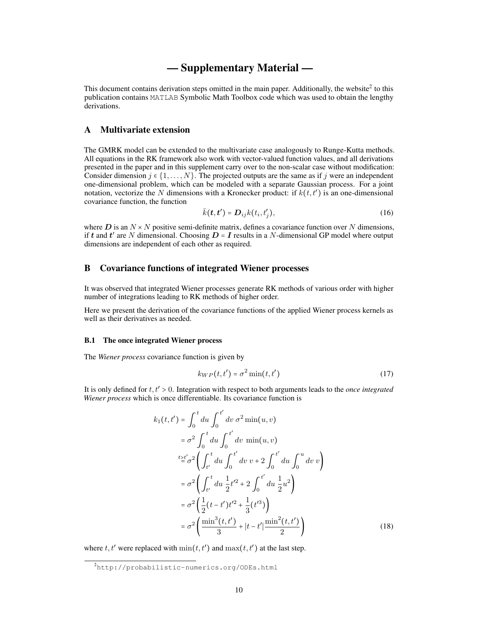## — Supplementary Material —

This document contains derivation steps omitted in the main paper. Additionally, the website $2$  to this publication contains MATLAB Symbolic Math Toolbox code which was used to obtain the lengthy derivations.

## A Multivariate extension

The GMRK model can be extended to the multivariate case analogously to Runge-Kutta methods. All equations in the RK framework also work with vector-valued function values, and all derivations presented in the paper and in this supplement carry over to the non-scalar case without modification: Consider dimension  $j \in \{1, \ldots, N\}$ . The projected outputs are the same as if j were an independent one-dimensional problem, which can be modeled with a separate Gaussian process. For a joint notation, vectorize the N dimensions with a Kronecker product: if  $k(t, t')$  is an one-dimensional covariance function, the function covariance function, the function

$$
\bar{k}(\boldsymbol{t},\boldsymbol{t}') = \boldsymbol{D}_{ij}k(t_i,t'_j),\tag{16}
$$

where  $D$  is an  $N \times N$  positive semi-definite matrix, defines a covariance function over N dimensions, if t and t' are N dimensional. Choosing  $D = I$  results in a N-dimensional GP model where output dimensions are independent of each other as required.

## B Covariance functions of integrated Wiener processes

It was observed that integrated Wiener processes generate RK methods of various order with higher number of integrations leading to RK methods of higher order.

Here we present the derivation of the covariance functions of the applied Wiener process kernels as well as their derivatives as needed.

#### B.1 The once integrated Wiener process

The *Wiener process* covariance function is given by

<span id="page-9-0"></span>
$$
k_{WP}(t, t') = \sigma^2 \min(t, t') \tag{17}
$$

It is only defined for t, t′ <sup>&</sup>gt; <sup>0</sup>. Integration with respect to both arguments leads to the *once integrated Wiener process* which is once differentiable. Its covariance function is

$$
k_1(t, t') = \int_0^t du \int_0^{t'} dv \, \sigma^2 \min(u, v)
$$
  
\n
$$
= \sigma^2 \int_0^t du \int_0^{t'} dv \, \min(u, v)
$$
  
\n
$$
t \ge t'_{\sigma^2} \left( \int_{t'}^t du \int_0^{t'} dv \, v + 2 \int_0^{t'} du \int_0^u dv \, v \right)
$$
  
\n
$$
= \sigma^2 \left( \int_{t'}^t du \, \frac{1}{2} t'^2 + 2 \int_0^{t'} du \, \frac{1}{2} u^2 \right)
$$
  
\n
$$
= \sigma^2 \left( \frac{1}{2} (t - t') t'^2 + \frac{1}{3} (t'^3) \right)
$$
  
\n
$$
= \sigma^2 \left( \frac{\min^3(t, t')}{3} + |t - t'| \frac{\min^2(t, t')}{2} \right)
$$
 (18)

where  $t, t'$  were replaced with  $min(t, t')$  and  $max(t, t')$  at the last step.

<sup>2</sup><http://probabilistic-numerics.org/ODEs.html>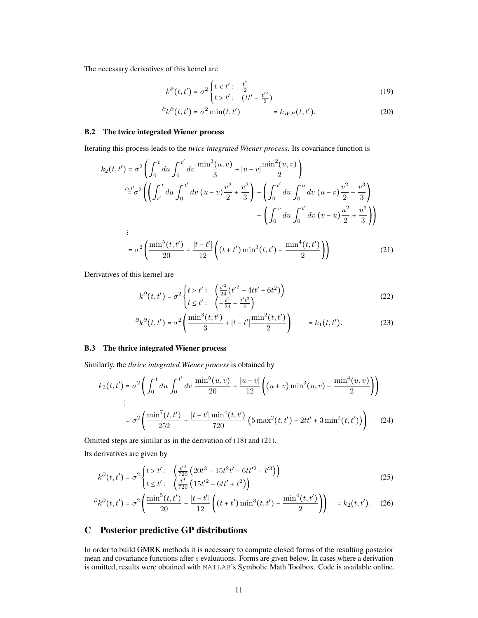The necessary derivatives of this kernel are

$$
k^{\partial}(t, t') = \sigma^2 \begin{cases} t < t' : & \frac{t^2}{2} \\ t > t' : & (tt' - \frac{t'^2}{2}) \end{cases}
$$
(19)

$$
\partial_k \partial(t, t') = \sigma^2 \min(t, t') \qquad \qquad = k_{WP}(t, t'). \tag{20}
$$

#### B.2 The twice integrated Wiener process

Iterating this process leads to the *twice integrated Wiener process*. Its covariance function is

$$
k_2(t, t') = \sigma^2 \left( \int_0^t du \int_0^{t'} dv \frac{\min^3(u, v)}{3} + |u - v| \frac{\min^2(u, v)}{2} \right)
$$
  
\n
$$
t \ge t'_{0} \sigma^2 \left( \left( \int_{t'}^t du \int_0^{t'} dv (u - v) \frac{v^2}{2} + \frac{v^3}{3} \right) + \left( \int_0^{t'} du \int_0^u dv (u - v) \frac{v^2}{2} + \frac{v^3}{3} \right) + \left( \int_0^v du \int_0^{t'} dv (v - u) \frac{u^2}{2} + \frac{u^3}{3} \right) \right)
$$
  
\n
$$
= \sigma^2 \left( \frac{\min^5(t, t')}{20} + \frac{|t - t'|}{12} \left( (t + t') \min^3(t, t') - \frac{\min^4(t, t')}{2} \right) \right) \tag{21}
$$

Derivatives of this kernel are

<span id="page-10-0"></span>
$$
k^{\partial}(t, t') = \sigma^2 \begin{cases} t > t' : & \left(\frac{t'^2}{24}(t'^2 - 4tt' + 6t^2)\right) \\ t \le t' : & \left(-\frac{t^4}{24} + \frac{t't^3}{6}\right) \end{cases}
$$
(22)

$$
\partial_k \partial_t(t, t') = \sigma^2 \left( \frac{\min^3(t, t')}{3} + |t - t'| \frac{\min^2(t, t')}{2} \right) = k_1(t, t'). \tag{23}
$$

## B.3 The thrice integrated Wiener process

Similarly, the *thrice integrated Wiener process* is obtained by

$$
k_3(t, t') = \sigma^2 \left( \int_0^t du \int_0^{t'} dv \frac{\min^5(u, v)}{20} + \frac{|u - v|}{12} \left( (u + v) \min^3(u, v) - \frac{\min^4(u, v)}{2} \right) \right)
$$
  
 
$$
= \sigma^2 \left( \frac{\min^7(t, t')}{252} + \frac{|t - t'| \min^4(t, t')}{720} \left( 5 \max^2(t, t') + 2tt' + 3 \min^2(t, t') \right) \right) \tag{24}
$$

Omitted steps are similar as in the derivation of [\(18\)](#page-9-0) and [\(21\)](#page-10-0).

Its derivatives are given by

$$
k^{\partial}(t, t') = \sigma^2 \begin{cases} t > t' : & \left(\frac{t'^3}{720} \left(20t^3 - 15t^2t' + 6tt'^2 - t'^3\right)\right) \\ t \le t' : & \left(\frac{t^4}{720} \left(15t'^2 - 6tt' + t^2\right)\right) \end{cases}
$$
(25)

$$
{}^{\partial}k^{\partial}(t,t') = \sigma^2 \left( \frac{\min^5(t,t')}{20} + \frac{|t-t'|}{12} \left( (t+t') \min^3(t,t') - \frac{\min^4(t,t')}{2} \right) \right) = k_2(t,t'). \tag{26}
$$

## C Posterior predictive GP distributions

In order to build GMRK methods it is necessary to compute closed forms of the resulting posterior mean and covariance functions after  $s$  evaluations. Forms are given below. In cases where a derivation is omitted, results were obtained with MATLAB's Symbolic Math Toolbox. Code is available online.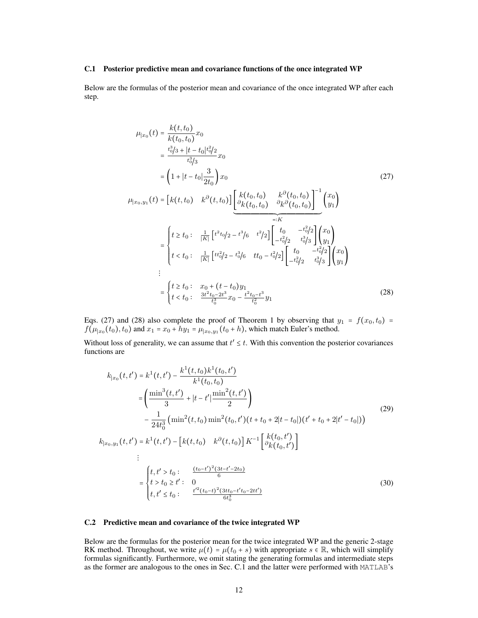#### C.1 Posterior predictive mean and covariance functions of the once integrated WP

Below are the formulas of the posterior mean and covariance of the once integrated WP after each step.

<span id="page-11-0"></span>
$$
\mu_{|x_0}(t) = \frac{k(t, t_0)}{k(t_0, t_0)} x_0
$$
\n
$$
= \frac{t_0^3/3 + |t - t_0|t_0^2/2}{t_0^3/3} x_0
$$
\n
$$
= \left(1 + |t - t_0|\frac{3}{2t_0}\right) x_0
$$
\n
$$
\mu_{|x_0, y_1}(t) = \left[k(t, t_0) \quad k^\partial(t, t_0)\right] \underbrace{\left[k(t_0, t_0) \quad k^\partial(t_0, t_0)\right]^{-1}}_{=:K} \underbrace{\left(t_0, t_0\right) \left[\frac{k(t_0, t_0)}{k(t_0, t_0)}\right]^{-1}}_{=:K} \underbrace{\left(t \ge t_0 : \frac{1}{|K|} \left[t^2 t_0/2 - t^3/6 \quad t^2/2\right] \left[\frac{t_0}{-t_0^2/2} - \frac{t_0^2/2}{t_0^3/3}\right] \begin{pmatrix} x_0\\ y_1 \end{pmatrix}}_{=:\begin{cases} t \ge t_0 : & \frac{1}{|K|} \left[t^2 t_0/2 - t^3/6 \quad t t_0 - t_0^2/2\right] \left[\frac{t_0}{-t_0^2/2} - \frac{t^2}{t_0^3/3}\right] \begin{pmatrix} x_0\\ y_1 \end{pmatrix} \right]}_{:=\begin{cases} t \ge t_0 : & x_0 + (t - t_0)y_1\\ t < t_0 : \frac{3t^2 t_0 - 2t^3}{t_0^3} x_0 - \frac{t^2 t_0 - t^3}{t_0^2} y_1 \end{cases}
$$
\n(28)

Eqs. [\(27\)](#page-11-0) and [\(28\)](#page-11-1) also complete the proof of Theorem 1 by observing that  $y_1 = f(x_0, t_0) = f(\mu_0, t_0)$  and  $x_0 = x_0 + hy_0 = u_0 + (t_0 + h)$  which match Euler's method  $f(\mu_{|x_0}(t_0), t_0)$  and  $x_1 = x_0 + hy_1 = \mu_{|x_0, y_1}(t_0 + h)$ , which match Euler's method.

Without loss of generality, we can assume that  $t' \leq t$ . With this convention the posterior covariances functions are functions are

<span id="page-11-1"></span>
$$
k_{|x_0}(t, t') = k^1(t, t') - \frac{k^1(t, t_0)k^1(t_0, t')}{k^1(t_0, t_0)}
$$
  
\n
$$
= \left(\frac{\min^3(t, t')}{3} + |t - t'| \frac{\min^2(t, t')}{2}\right)
$$
  
\n
$$
- \frac{1}{24t_0^3} \left(\min^2(t, t_0) \min^2(t_0, t')(t + t_0 + 2|t - t_0|)(t' + t_0 + 2|t' - t_0|)\right)
$$
  
\n
$$
k_{|x_0, y_1}(t, t') = k^1(t, t') - [k(t, t_0) \quad k^\partial(t, t_0)] K^{-1} \left[\frac{k(t_0, t')}{\partial k(t_0, t')}\right]
$$
  
\n
$$
\vdots
$$
  
\n
$$
= \begin{cases} t, t' > t_0 : \quad \frac{(t_0 - t')^2(3t - t' - 2t_0)}{6} \\ t > t_0 \ge t' : \quad 0 \\ t, t' \le t_0 : \quad \frac{t'^2(t_0 - t)^2(3t t_0 - t' t_0 - 2t t')}{6t_0^3} \end{cases}
$$
(30)

#### C.2 Predictive mean and covariance of the twice integrated WP

Below are the formulas for the posterior mean for the twice integrated WP and the generic 2-stage RK method. Throughout, we write  $\mu(t) = \mu(t_0 + s)$  with appropriate  $s \in \mathbb{R}$ , which will simplify formulas significantly. Furthermore, we omit stating the generating formulas and intermediate steps as the former are analogous to the ones in Sec. [C.1](#page-2-1) and the latter were performed with MATLAB's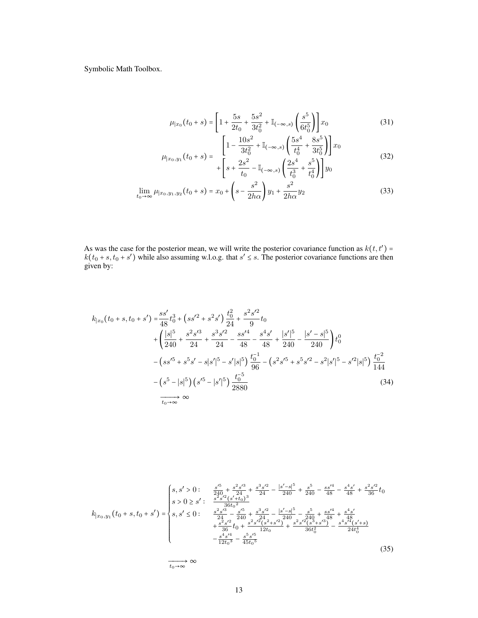Symbolic Math Toolbox.

$$
\mu_{|x_0}(t_0+s) = \left[1 + \frac{5s}{2t_0} + \frac{5s^2}{3t_0^2} + \mathbb{I}_{(-\infty,s)}\left(\frac{s^5}{6t_0^5}\right)\right]x_0\tag{31}
$$

$$
\mu_{|x_0, y_1}(t_0 + s) = \begin{bmatrix} 1 - \frac{10s^2}{3t_0^2} + \mathbb{I}_{(-\infty, s)} \left( \frac{5s^4}{t_0^4} + \frac{8s^5}{3t_0^5} \right) \right] x_0 \\ + \left[ s + \frac{2s^2}{t_0} - \mathbb{I}_{(-\infty, s)} \left( \frac{2s^4}{t_0^3} + \frac{s^5}{t_0^4} \right) \right] y_0 \end{bmatrix} \tag{32}
$$

$$
\lim_{t_0 \to \infty} \mu_{|x_0, y_1, y_2}(t_0 + s) = x_0 + \left(s - \frac{s^2}{2h\alpha}\right)y_1 + \frac{s^2}{2h\alpha}y_2\tag{33}
$$

As was the case for the posterior mean, we will write the posterior covariance function as  $k(t, t') = k(t_0 + s, t_0 + s')$  while also assuming w.l.o.g. that  $s' \le s$ . The posterior covariance functions are then given by:

$$
k_{|x_0}(t_0+s,t_0+s') = \frac{ss'}{48}t_0^3 + (ss'^2 + s^2s')\frac{t_0^2}{24} + \frac{s^2s'^2}{9}t_0
$$
  
+ 
$$
\left(\frac{|s|^5}{240} + \frac{s^2s'^3}{24} + \frac{s^3s'^2}{24} - \frac{ss'^4}{48} - \frac{s^4s'}{48} + \frac{|s'|^5}{240} - \frac{|s'-s|^5}{240}\right)t_0^0
$$
  
- 
$$
\left(ss'^5 + s^5s' - s|s'|^5 - s'|s|^5\right)\frac{t_0^{-1}}{96} - \left(s^2s'^5 + s^5s'^2 - s^2|s'|^5 - s'^2|s|^5\right)\frac{t_0^{-2}}{144}
$$
  
- 
$$
\left(s^5 - |s|^5\right)\left(s'^5 - |s'|^5\right)\frac{t_0^{-5}}{2880}
$$
  

$$
\overrightarrow{t_0 \to \infty}
$$
 (34)

$$
k_{[x_0,y_1]}(t_0+s,t_0+s') = \begin{cases} s, s' > 0: & \frac{s'^5}{240} + \frac{s^2 s'^3}{24} + \frac{s^3 s'^2}{24} - \frac{|s'-s|^5}{240} + \frac{s^5}{240} - \frac{s s'^4}{48} - \frac{s^4 s'}{48} + \frac{s^2 s'^2}{36}t_0\\ s > 0 \ge s': & \frac{s^2 s'^3}{36 t_0^2} \\ s, s' \le 0: & \frac{s^2 s'^3}{24} - \frac{s'^5}{240} + \frac{s^3 s'^2}{240} - \frac{|s'-s|^5}{240} - \frac{s^5}{240} + \frac{s s'^4}{48} + \frac{s^4 s'}{48} \\ & + \frac{s^2 s'^2}{36} t_0 + \frac{s^2 s'^2 (s^2+s'^2)}{12 t_0} + \frac{s^2 s'^2 (s^3+s'^3)}{36 t_0^2} - \frac{s^4 s'^4 (s'+s)}{24 t_0^4} \\ & - \frac{s^4 s'^4}{12 t_0^3} - \frac{s^5 s'^5}{45 t_0^5} \end{cases} \tag{35}
$$

 $\overrightarrow{t_0\rightarrow\infty}$  ∞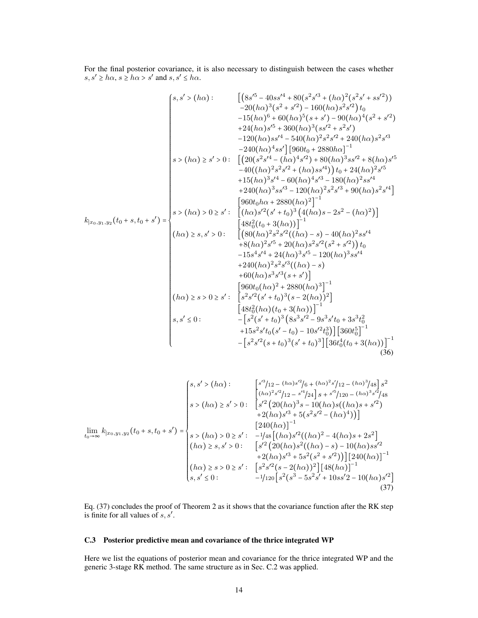For the final posterior covariance, it is also necessary to distinguish between the cases whether  $s, s' \geq h\alpha, s \geq h\alpha > s'$  and  $s, s' \leq h\alpha$ .

$$
\begin{bmatrix}\ns, s' > (h\alpha): & \left[ \left( 8s'^{5} - 40ss'^{4} + 80(s^{2}s'^{3} + (h\alpha)^{2}(s^{2}s' + ss'^{2}) \right) \right. \\
-20(h\alpha)^{3}(s^{2} + s'^{2}) - 160(h\alpha)s^{2}s'^{2} \big) t_{0} \\
-15(h\alpha)^{6} + 60(h\alpha)^{5}(s + s') - 90(h\alpha)^{4}(s^{2} + s'^{2}) \\
+24(h\alpha)s'^{4} - 540(h\alpha)^{3}(ss'^{2} + s^{2}s') \\
-120(h\alpha)ss'^{4} - 540(h\alpha)^{2}s^{2}s'^{2} + 240(h\alpha)s^{2}s'^{3} \\
-240(h\alpha)^{4}s' \big] \big[ 960t_{0} + 2880h\alpha \big]^{-1} \\
s > (h\alpha) \ge s' > 0: & \left[ \left( 20(s^{2}s'^{4} - (h\alpha)^{4}s'^{2}) + 80(h\alpha)^{3}s^{2} + 240(h\alpha)s'^{5} \right. \\
-40(h\alpha)^{3}s'^{4} - 60(h\alpha)^{4}s'^{3} - 120(h\alpha)s'^{4} \big) t_{0} + 24(h\alpha)^{2}s'^{4} \\
+ 15(h\alpha)s'^{3}s'^{4} - 60(h\alpha)s'^{2}s'^{4} \\
+ 240(h\alpha)s'^{3}s'^{3} - 120(h\alpha)s'^{2}s'^{3} + 90(h\alpha)s^{2}s'^{4} \\
+ 240(h\alpha)s'^{3}s'^{3} - 120(h\alpha)s'^{2}s'^{3} + 90(h\alpha)s^{2}s'^{4} \\
+ 240(h\alpha)s'^{3}s'^{3} - 120(h\alpha)s'^{2}s'^{3} + 90(h\alpha)s^{2}s'^{4} \\
+ 8(h\alpha)^{2}s'^{5} + 20(h\alpha)s'^{2}s'^{2}(s^{2} + s'^{2}) \big) t_{0} \\
- 15s^{4}s'^{4} + 24(h\alpha)^{3}s'^{5} - 120(h\alpha)s^{3}s'^{4} \\
+ 240(h\alpha)^{2}s'^{5} + 20(h\alpha)s^{3}s'^{2}(s^{2} + s'^
$$

$$
\lim_{t_0 \to \infty} k_{|x_0, y_1, y_2}(t_0 + s, t_0 + s') = \begin{cases} s, s' > (h\alpha) : & \begin{bmatrix} s'^3/12 - (h\alpha)s'^2/6 + (h\alpha)^2 s'/12 - (h\alpha)^3/48 \end{bmatrix} s^2 \\ s > (h\alpha) \ge s' > 0 : & \begin{bmatrix} s'^2 \left(20(h\alpha)^3 s - 10(h\alpha)s((h\alpha)s + s'^2) + 2(h\alpha)s'^3 + 5(s^2s'^2 - (h\alpha)^4) \right) \end{bmatrix} \\ \text{lim}_{t_0 \to \infty} k_{|x_0, y_1, y_2}(t_0 + s, t_0 + s') = \begin{cases} s > (h\alpha) > 0 \ge s' : & -1/4s \left[ (h\alpha)s'^2((h\alpha)^2 - 4(h\alpha)s + 2s^2 \right] \\ (h\alpha) \ge s, s' > 0 : & \begin{bmatrix} s'^2 \left(20(h\alpha)s'^2((h\alpha) - s) - 10(h\alpha)ss'^2 + 2(h\alpha)s'^3 + 5s^2(s^2 + s'^2) \right) \end{bmatrix} \begin{bmatrix} 240(h\alpha) \end{bmatrix}^{-1} \\ (h\alpha) \ge s > 0 \ge s' : & \begin{bmatrix} s^2s'^2(s - 2(h\alpha))^2 \end{bmatrix} \begin{bmatrix} 48(h\alpha) \end{bmatrix}^{-1} \\ s, s' \le 0 : & \begin{bmatrix} -1/120 \left[ s^2(s^3 - 5s^2s' + 10ss'2 - 10(h\alpha)s'^2 \right] \end{bmatrix} \end{cases} \tag{37}
$$

<span id="page-13-0"></span>Eq. [\(37\)](#page-13-0) concludes the proof of Theorem 2 as it shows that the covariance function after the RK step is finite for all values of  $s, s'$ .

## C.3 Posterior predictive mean and covariance of the thrice integrated WP

Here we list the equations of posterior mean and covariance for the thrice integrated WP and the generic 3-stage RK method. The same structure as in Sec. [C.2](#page-3-2) was applied.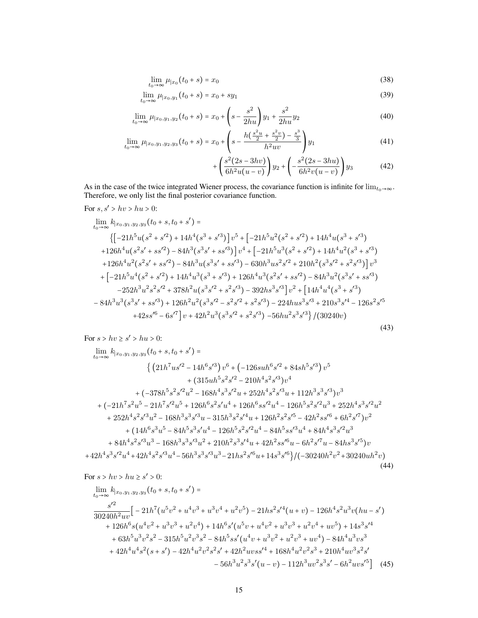$$
\lim_{t_0 \to \infty} \mu_{|x_0}(t_0 + s) = x_0 \tag{38}
$$

$$
\lim_{t_0 \to \infty} \mu_{|x_0, y_1}(t_0 + s) = x_0 + sy_1 \tag{39}
$$

$$
\lim_{t_0 \to \infty} \mu_{|x_0, y_1, y_2}(t_0 + s) = x_0 + \left(s - \frac{s^2}{2hu}\right)y_1 + \frac{s^2}{2hu}y_2\tag{40}
$$

$$
\lim_{t_0 \to \infty} \mu_{|x_0, y_1, y_2, y_3}(t_0 + s) = x_0 + \left(s - \frac{h(\frac{s^2 u}{2} + \frac{s^2 v}{2}) - \frac{s^3}{3}}{h^2 u v}\right) y_1 \tag{41}
$$

$$
+\left(\frac{s^2(2s-3hv)}{6h^2u(u-v)}\right)y_2+\left(-\frac{s^2(2s-3hu)}{6h^2v(u-v)}\right)y_3\tag{42}
$$

As in the case of the twice integrated Wiener process, the covariance function is infinite for  $\lim_{t_0\to\infty}$ . Therefore, we only list the final posterior covariance function.

$$
For s, s' > hv > hu > 0:
$$

$$
\lim_{t_0 \to \infty} k_{|x_0, y_1, y_2, y_3}(t_0 + s, t_0 + s') =
$$
\n
$$
\left\{ \left[ -21h^5u(s^2 + s'^2) + 14h^4(s^3 + s'^3) \right] v^5 + \left[ -21h^5u^2(s^2 + s'^2) + 14h^4u(s^3 + s'^3) \right] \right. \\
\left. + 126h^4u(s^2s' + ss'^2) - 84h^3(s^3s' + ss'^3) \right] v^4 + \left[ -21h^5u^3(s^2 + s'^2) + 14h^4u^2(s^3 + s'^3) \right. \\
\left. + 126h^4u^2(s^2s' + ss'^2) - 84h^3u(s^3s' + ss'^3) - 630h^3us^2s'^2 + 210h^2(s^3s'^2 + s^2s'^3) \right] v^3
$$
\n
$$
+ \left[ -21h^5u^4(s^2 + s'^2) + 14h^4u^3(s^3 + s'^3) + 126h^4u^3(s^2s' + ss'^2) - 84h^3u^2(s^3s' + ss'^3) \right. \\
\left. - 252h^3u^2s^2s'^2 + 378h^2u(s^3s'^2 + s^2s'^3) - 392hs^3s'^3 \right] v^2 + \left[ 14h^4u^4(s^3 + s'^3) \right. \\
\left. - 84h^3u^3(s^3s' + ss'^3) + 126h^2u^2(s^3s'^2 - s^2s'^2 + s^2s'^3) - 224hus^3s'^3 + 210s^3s'^4 - 126s^2s'^5 \right. \\
\left. + 42ss'^6 - 6s'^7 \right] v + 42h^2u^3(s^3s'^2 + s^2s'^3) - 56hu^2s^3s'^3 \right) / (30240v)
$$
\n(43)

For  $s > hv \ge s' > hu > 0$ :

$$
\lim_{t_0 \to \infty} k_{|x_0, y_1, y_2, y_3}(t_0 + s, t_0 + s') =
$$
\n
$$
\left\{ \left( 21h^7us'^2 - 14h^6s'^3 \right) v^6 + \left( -126suh^6s'^2 + 84sh^5s'^3 \right) v^5 + (315uh^5s^2s'^2 - 210h^4s^2s'^3)v^4 + (-378h^5s^2s'^2u^2 - 168h^4s^3s'^2u + 252h^4s^2s'^3u + 112h^3s^3s'^3)v^3 + (-21h^7s^2u^5 - 21h^7s'^2u^5 + 126h^6s^2s'u^4 + 126h^6ss'^2u^4 - 126h^5s^2s'^2u^3 + 252h^4s^3s'^2u^2 + 252h^4s^2s'^3u^2 - 168h^3s^3s'^3u - 315h^3s^2s'^4u + 126h^2s^2s'^5 - 42h^2ss'^6 + 6h^2s'^7)v^2 + (14h^6s^3u^5 - 84h^5s^3s'u^4 - 126h^5s^2s'^2u^4 - 84h^5ss'^3u^4 + 84h^4s^3s'^2u^3 + 84h^4s^2s'^3u^3 - 168h^3s^3s'^3u^2 + 210h^2s^3s'^4u + 42h^2ss'^6u - 6h^2s'^7u - 84hs^3s'^5)v + 42h^4s^3s'^2u^4 + 42h^4s^2s'^3u^4 - 56h^3s^3s'^3u^3 - 21hs^2s'^6u + 14s^3s'^6 \right) / (-30240h^2v^2 + 30240uh^2v) \tag{44}
$$

For  $s > hv > hu \ge s' > 0$ :

$$
\lim_{t_0 \to \infty} k_{[x_0, y_1, y_2, y_3]}(t_0 + s, t_0 + s') =
$$
\n
$$
\frac{s'^2}{30240h^2uv} \Big[ -21h^7(u^5v^2 + u^4v^3 + u^3v^4 + u^2v^5) - 21hs^2s'^4(u + v) - 126h^4s^2u^3v(hu - s') + 126h^6s(u^4v^2 + u^3v^3 + u^2v^4) + 14h^6s'(u^5v + u^4v^2 + u^3v^3 + u^2v^4 + uv^5) + 14s^3s'^4 + 63h^5u^3v^2s^2 - 315h^5u^2v^3s^2 - 84h^5ss'(u^4v + u^3v^2 + u^2v^3 + uv^4) - 84h^4u^3vs^3 + 42h^4u^4s^2(s + s') - 42h^4u^2v^2s^2s' + 42h^2uvss'^4 + 168h^4u^2v^2s^3 + 210h^4uv^3s^2s' - 56h^3u^2s^3s'(u - v) - 112h^3uv^2s^3s' - 6h^2uvs'^5 \Big] \tag{45}
$$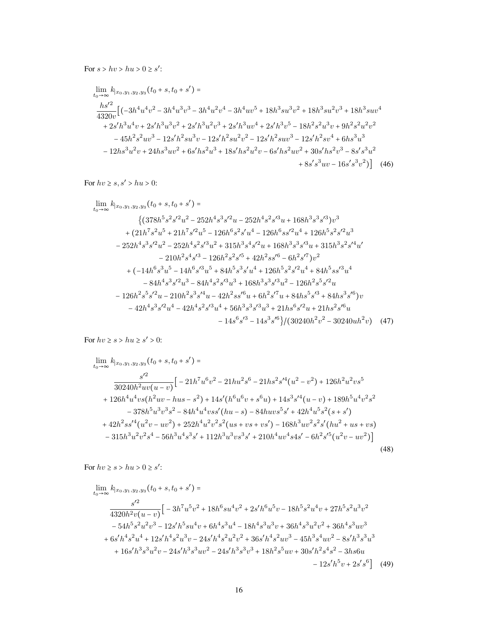For  $s > hv > hu > 0 \ge s'$ :

$$
\lim_{t_0 \to \infty} k_{|x_0, y_1, y_2, y_3}(t_0 + s, t_0 + s') =
$$
\n
$$
\frac{hs'^2}{4320v} \Big[ \left(-3h^4u^4v^2 - 3h^4u^3v^3 - 3h^4u^2v^4 - 3h^4uv^5 + 18h^3su^3v^2 + 18h^3su^2v^3 + 18h^3suv^4
$$
\n
$$
+ 2s'h^3u^4v + 2s'h^3u^3v^2 + 2s'h^3u^2v^3 + 2s'h^3uv^4 + 2s'h^3v^5 - 18h^2s^2u^3v + 9h^2s^2u^2v^2
$$
\n
$$
- 45h^2s^2uv^3 - 12s'h^2su^3v - 12s'h^2su^2v^2 - 12s'h^2su^3 - 12s'h^2sv^4 + 6hs^3u^3
$$
\n
$$
- 12hs^3u^2v + 24hs^3uv^2 + 6s'h^2u^3 + 18s'h^2u^2v - 6s'h^2uv^2 + 30s'h^2v^3 - 8s's^3u^2
$$
\n
$$
+ 8s's^3uv - 16s's^3v^2 \Big] \Big]
$$
 (46)

For  $hv \geq s, s' > hu > 0$ :

$$
\lim_{t_0 \to \infty} k_{|x_0, y_1, y_2, y_3}(t_0 + s, t_0 + s') =
$$
\n
$$
\{(378h^5 s^2 s'^2 u^2 - 252h^4 s^3 s'^2 u - 252h^4 s^2 s'^3 u + 168h^3 s^3 s'^3)v^3
$$
\n
$$
+ (21h^7 s^2 u^5 + 21h^7 s'^2 u^5 - 126h^6 s^2 s' u^4 - 126h^6 s s'^2 u^4 + 126h^5 s^2 s'^2 u^3
$$
\n
$$
- 252h^4 s^3 s'^2 u^2 - 252h^4 s^2 s'^3 u^2 + 315h^3 s^4 s'^2 u + 168h^3 s^3 s'^3 u + 315h^3 s^2 s'^4 u'
$$
\n
$$
- 210h^2 s^4 s'^3 - 126h^2 s^2 s'^5 + 42h^2 s s'^6 - 6h^2 s'^7)v^2
$$
\n
$$
+ (-14h^6 s^3 u^5 - 14h^6 s'^3 u^5 + 84h^5 s^3 s' u^4 + 126h^5 s^2 s'^2 u^4 + 84h^5 s s'^3 u^4
$$
\n
$$
- 84h^4 s^3 s'^2 u^3 - 84h^4 s^2 s'^3 u^3 + 168h^3 s^3 s'^3 u^2 - 126h^2 s^5 s'^2 u
$$
\n
$$
- 126h^2 s^5 s'^2 u - 210h^2 s^3 s'^4 u - 42h^2 s s'^6 u + 6h^2 s'^7 u + 84h s^5 s'^3 + 84h s^3 s'^6)v
$$
\n
$$
- 42h^4 s^3 s'^2 u^4 - 42h^4 s^2 s'^3 u^4 + 56h^3 s^3 s'^3 u^3 + 21h s^6 s'^2 u + 21h s^2 s'^6 u
$$
\n
$$
- 14s^6 s'^3 - 14s^3 s'^6 \}/(30240h^2 v^2 - 30240u h^2 v)
$$
\n(47)

For  $hv \geq s > hu \geq s' > 0$ :

$$
\lim_{t_0 \to \infty} k_{[x_0, y_1, y_2, y_3]}(t_0 + s, t_0 + s') =
$$
\n
$$
\frac{s'^2}{30240h^2 uv(u - v)} \Big[ -21h^7 u^6 v^2 - 21hu^2 s^6 - 21hs^2 s'^4 (u^2 - v^2) + 126h^2 u^2 v s^5
$$
\n
$$
+ 126h^4 u^4 v s (h^2 uv - hus - s^2) + 14s'(h^6 u^6 v + s^6 u) + 14s^3 s'^4 (u - v) + 189h^5 u^4 v^2 s^2
$$
\n
$$
- 378h^5 u^3 v^3 s^2 - 84h^4 u^4 v s s'(hu - s) - 84hu v s^5 s' + 42h^4 u^5 s^2 (s + s')
$$
\n
$$
+ 42h^2 s s'^4 (u^2 v - uv^2) + 252h^4 u^2 v^2 s^2 (us + vs + vs') - 168h^3 uv^2 s^2 s'(hu^2 + us + vs)
$$
\n
$$
- 315h^3 u^2 v^2 s^4 - 56h^3 u^4 s^3 s' + 112h^3 u^3 v s^3 s' + 210h^4 u v^4 s 4s' - 6h^2 s'^5 (u^2 v - uv^2) \Big]
$$
\n(48)

For  $hv \geq s > hu > 0 \geq s'$ :

$$
\lim_{t_0 \to \infty} k_{|x_0, y_1, y_2, y_3}(t_0 + s, t_0 + s') =
$$
\n
$$
\frac{s'^2}{4320h^2v(u - v)} \Big[ -3h^7u^5v^2 + 18h^6su^4v^2 + 2s'h^6u^5v - 18h^5s^2u^4v + 27h^5s^2u^3v^2
$$
\n
$$
-54h^5s^2u^2v^3 - 12s'h^5su^4v + 6h^4s^3u^4 - 18h^4s^3u^3v + 36h^4s^3u^2v^2 + 36h^4s^3uv^3
$$
\n
$$
+6s'h^4s^2u^4 + 12s'h^4s^2u^3v - 24s'h^4s^2u^2v^2 + 36s'h^4s^2uv^3 - 45h^3s^4uv^2 - 8s'h^3s^3u^3
$$
\n
$$
+16s'h^3s^3u^2v - 24s'h^3s^3uv^2 - 24s'h^3s^3v^3 + 18h^2s^5uv + 30s'h^2s^4s^2 - 3hs6u
$$
\n
$$
-12s'h^5v + 2s's^6 \Big] \tag{49}
$$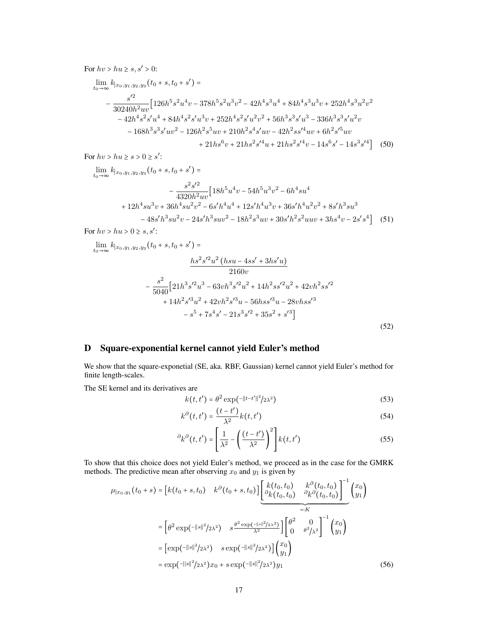For  $hv > hu \geq s, s' > 0$ :

$$
\lim_{t_0 \to \infty} k_{|x_0, y_1, y_2, y_3}(t_0 + s, t_0 + s') =
$$
\n
$$
- \frac{s'^2}{30240h^2uv} \Big[ 126h^5 s^2 u^4 v - 378h^5 s^2 u^3 v^2 - 42h^4 s^3 u^4 + 84h^4 s^3 u^3 v + 252h^4 s^3 u^2 v^2
$$
\n
$$
- 42h^4 s^2 s' u^4 + 84h^4 s^2 s' u^3 v + 252h^4 s^2 s' u^2 v^2 + 56h^3 s^3 s' u^3 - 336h^3 s^3 s' u^2 v
$$
\n
$$
- 168h^3 s^3 s' u v^2 - 126h^2 s^5 u v + 210h^2 s^4 s' u v - 42h^2 s s'^4 u v + 6h^2 s'^5 u v
$$
\n
$$
+ 21h s^6 v + 21h s^2 s'^4 u + 21h s^2 s'^4 v - 14s^6 s' - 14s^3 s'^4 \Big] \tag{50}
$$

For  $hv > hu \geq s > 0 \geq s'$ :

$$
\lim_{t_0 \to \infty} k_{[x_0, y_1, y_2, y_3]}(t_0 + s, t_0 + s') =
$$
\n
$$
- \frac{s^2 s'^2}{4320h^2 uv} \Big[ 18h^5 u^4 v - 54h^5 u^3 v^2 - 6h^4 s u^4
$$
\n
$$
+ 12h^4 s u^3 v + 36h^4 s u^2 v^2 - 6s'h^4 u^4 + 12s'h^4 u^3 v + 36s'h^4 u^2 v^2 + 8s'h^3 s u^3
$$
\n
$$
- 48s'h^3 s u^2 v - 24s'h^3 s u v^2 - 18h^2 s^3 u v + 30s'h^2 s^2 u u v + 3hs^4 v - 2s's^4 \Big] \tag{51}
$$

For  $hv > hu > 0 \geq s, s'$ :

$$
\lim_{t_0 \to \infty} k_{[x_0, y_1, y_2, y_3]}(t_0 + s, t_0 + s') =
$$
\n
$$
\frac{hs^2 s'^2 u^2 (hsu - 4ss' + 3hs'u)}{2160v}
$$
\n
$$
-\frac{s^2}{5040} \Big[ 21h^3 s'^2 u^3 - 63vh^3 s'^2 u^2 + 14h^2 ss'^2 u^2 + 42vh^2 ss'^2
$$
\n
$$
+ 14h^2 s'^3 u^2 + 42vh^2 s'^3 u - 56hss'^3 u - 28vhss'^3
$$
\n
$$
-s^5 + 7s^4 s' - 21s^3 s'^2 + 35s^2 + s'^3 \Big]
$$
\n(52)

## D Square-exponential kernel cannot yield Euler's method

We show that the square-exponetial (SE, aka. RBF, Gaussian) kernel cannot yield Euler's method for finite length-scales.

The SE kernel and its derivatives are

$$
k(t, t') = \theta^2 \exp(-||t - t'||^2/2\lambda^2)
$$
\n(53)

$$
k^{\partial}(t, t') = \frac{(t - t')}{\lambda^2} k(t, t')
$$
\n(54)

$$
\partial_k \partial(t, t') = \left[\frac{1}{\lambda^2} - \left(\frac{(t - t')}{\lambda^2}\right)^2\right] k(t, t')
$$
\n(55)

To show that this choice does not yield Euler's method, we proceed as in the case for the GMRK methods. The predictive mean after observing  $x_0$  and  $y_1$  is given by

$$
\mu_{|x_0, y_1}(t_0 + s) = \left[k(t_0 + s, t_0) \quad k^{\partial}(t_0 + s, t_0)\right] \left[\frac{k(t_0, t_0)}{\partial k(t_0, t_0)} \frac{k^{\partial}(t_0, t_0)}{\partial k^{\partial}(t_0, t_0)}\right]^{-1} \begin{pmatrix} x_0 \\ y_1 \end{pmatrix}
$$

$$
= \left[\theta^2 \exp(-||s||^2/2\lambda^2) \quad s \frac{\theta^2 \exp(-||s||^2/2\lambda^2)}{\lambda^2}\right] \left[\begin{pmatrix} \theta^2 & 0 \\ 0 & \theta^2/\lambda^2 \end{pmatrix}^{-1} \begin{pmatrix} x_0 \\ y_1 \end{pmatrix}\right]
$$

$$
= \left[\exp(-||s||^2/2\lambda^2) \quad s \exp(-||s||^2/2\lambda^2)\right] \begin{pmatrix} x_0 \\ y_1 \end{pmatrix}
$$

$$
= \exp(-||s||^2/2\lambda^2)x_0 + s \exp(-||s||^2/2\lambda^2)y_1 \tag{56}
$$